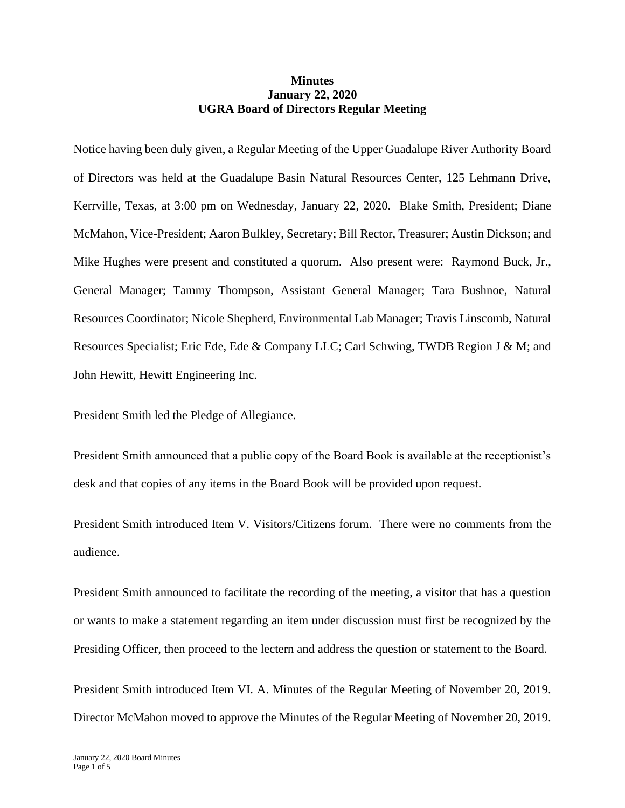## **Minutes January 22, 2020 UGRA Board of Directors Regular Meeting**

Notice having been duly given, a Regular Meeting of the Upper Guadalupe River Authority Board of Directors was held at the Guadalupe Basin Natural Resources Center, 125 Lehmann Drive, Kerrville, Texas, at 3:00 pm on Wednesday, January 22, 2020. Blake Smith, President; Diane McMahon, Vice-President; Aaron Bulkley, Secretary; Bill Rector, Treasurer; Austin Dickson; and Mike Hughes were present and constituted a quorum. Also present were: Raymond Buck, Jr., General Manager; Tammy Thompson, Assistant General Manager; Tara Bushnoe, Natural Resources Coordinator; Nicole Shepherd, Environmental Lab Manager; Travis Linscomb, Natural Resources Specialist; Eric Ede, Ede & Company LLC; Carl Schwing, TWDB Region J & M; and John Hewitt, Hewitt Engineering Inc.

President Smith led the Pledge of Allegiance.

President Smith announced that a public copy of the Board Book is available at the receptionist's desk and that copies of any items in the Board Book will be provided upon request.

President Smith introduced Item V. Visitors/Citizens forum. There were no comments from the audience.

President Smith announced to facilitate the recording of the meeting, a visitor that has a question or wants to make a statement regarding an item under discussion must first be recognized by the Presiding Officer, then proceed to the lectern and address the question or statement to the Board.

President Smith introduced Item VI. A. Minutes of the Regular Meeting of November 20, 2019. Director McMahon moved to approve the Minutes of the Regular Meeting of November 20, 2019.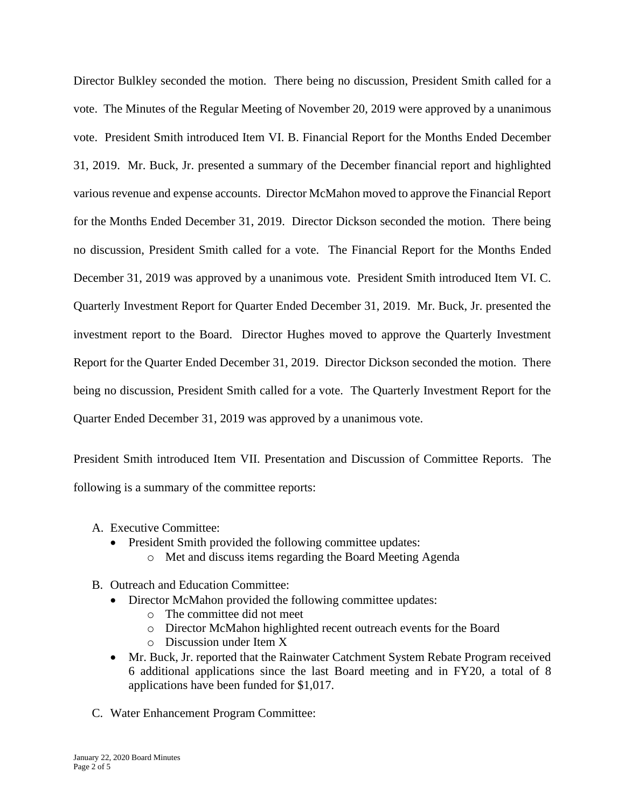Director Bulkley seconded the motion. There being no discussion, President Smith called for a vote. The Minutes of the Regular Meeting of November 20, 2019 were approved by a unanimous vote. President Smith introduced Item VI. B. Financial Report for the Months Ended December 31, 2019. Mr. Buck, Jr. presented a summary of the December financial report and highlighted various revenue and expense accounts. Director McMahon moved to approve the Financial Report for the Months Ended December 31, 2019. Director Dickson seconded the motion. There being no discussion, President Smith called for a vote. The Financial Report for the Months Ended December 31, 2019 was approved by a unanimous vote. President Smith introduced Item VI. C. Quarterly Investment Report for Quarter Ended December 31, 2019. Mr. Buck, Jr. presented the investment report to the Board. Director Hughes moved to approve the Quarterly Investment Report for the Quarter Ended December 31, 2019. Director Dickson seconded the motion. There being no discussion, President Smith called for a vote. The Quarterly Investment Report for the Quarter Ended December 31, 2019 was approved by a unanimous vote.

President Smith introduced Item VII. Presentation and Discussion of Committee Reports. The following is a summary of the committee reports:

- A. Executive Committee:
	- President Smith provided the following committee updates:
		- o Met and discuss items regarding the Board Meeting Agenda
- B. Outreach and Education Committee:
	- Director McMahon provided the following committee updates:
		- o The committee did not meet
		- o Director McMahon highlighted recent outreach events for the Board
		- o Discussion under Item X
	- Mr. Buck, Jr. reported that the Rainwater Catchment System Rebate Program received 6 additional applications since the last Board meeting and in FY20, a total of 8 applications have been funded for \$1,017.
- C. Water Enhancement Program Committee: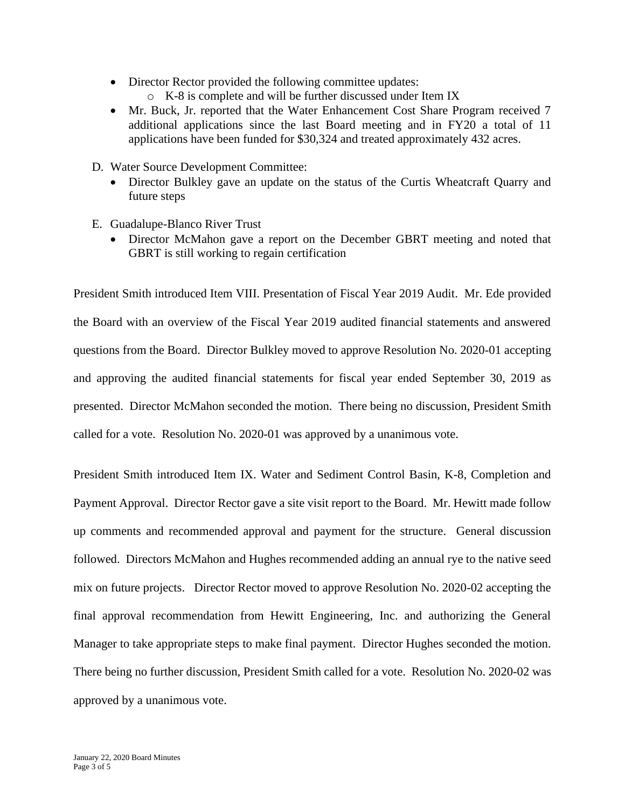- Director Rector provided the following committee updates:
	- o K-8 is complete and will be further discussed under Item IX
- Mr. Buck, Jr. reported that the Water Enhancement Cost Share Program received 7 additional applications since the last Board meeting and in FY20 a total of 11 applications have been funded for \$30,324 and treated approximately 432 acres.
- D. Water Source Development Committee:
	- Director Bulkley gave an update on the status of the Curtis Wheatcraft Quarry and future steps
- E. Guadalupe-Blanco River Trust
	- Director McMahon gave a report on the December GBRT meeting and noted that GBRT is still working to regain certification

President Smith introduced Item VIII. Presentation of Fiscal Year 2019 Audit. Mr. Ede provided the Board with an overview of the Fiscal Year 2019 audited financial statements and answered questions from the Board. Director Bulkley moved to approve Resolution No. 2020-01 accepting and approving the audited financial statements for fiscal year ended September 30, 2019 as presented. Director McMahon seconded the motion. There being no discussion, President Smith called for a vote. Resolution No. 2020-01 was approved by a unanimous vote.

President Smith introduced Item IX. Water and Sediment Control Basin, K-8, Completion and Payment Approval. Director Rector gave a site visit report to the Board. Mr. Hewitt made follow up comments and recommended approval and payment for the structure. General discussion followed. Directors McMahon and Hughes recommended adding an annual rye to the native seed mix on future projects. Director Rector moved to approve Resolution No. 2020-02 accepting the final approval recommendation from Hewitt Engineering, Inc. and authorizing the General Manager to take appropriate steps to make final payment. Director Hughes seconded the motion. There being no further discussion, President Smith called for a vote. Resolution No. 2020-02 was approved by a unanimous vote.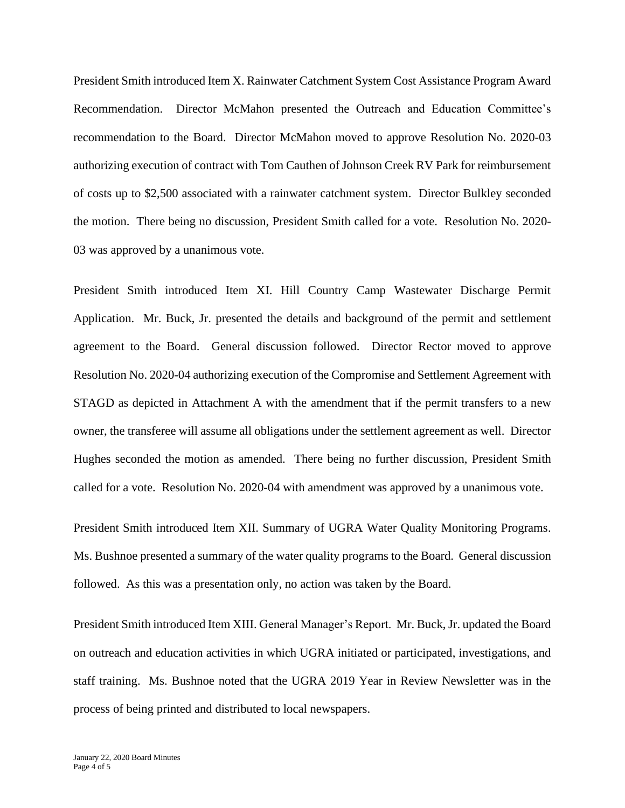President Smith introduced Item X. Rainwater Catchment System Cost Assistance Program Award Recommendation. Director McMahon presented the Outreach and Education Committee's recommendation to the Board. Director McMahon moved to approve Resolution No. 2020-03 authorizing execution of contract with Tom Cauthen of Johnson Creek RV Park for reimbursement of costs up to \$2,500 associated with a rainwater catchment system. Director Bulkley seconded the motion. There being no discussion, President Smith called for a vote. Resolution No. 2020- 03 was approved by a unanimous vote.

President Smith introduced Item XI. Hill Country Camp Wastewater Discharge Permit Application. Mr. Buck, Jr. presented the details and background of the permit and settlement agreement to the Board. General discussion followed. Director Rector moved to approve Resolution No. 2020-04 authorizing execution of the Compromise and Settlement Agreement with STAGD as depicted in Attachment A with the amendment that if the permit transfers to a new owner, the transferee will assume all obligations under the settlement agreement as well. Director Hughes seconded the motion as amended. There being no further discussion, President Smith called for a vote. Resolution No. 2020-04 with amendment was approved by a unanimous vote.

President Smith introduced Item XII. Summary of UGRA Water Quality Monitoring Programs. Ms. Bushnoe presented a summary of the water quality programs to the Board. General discussion followed. As this was a presentation only, no action was taken by the Board.

President Smith introduced Item XIII. General Manager's Report. Mr. Buck, Jr. updated the Board on outreach and education activities in which UGRA initiated or participated, investigations, and staff training. Ms. Bushnoe noted that the UGRA 2019 Year in Review Newsletter was in the process of being printed and distributed to local newspapers.